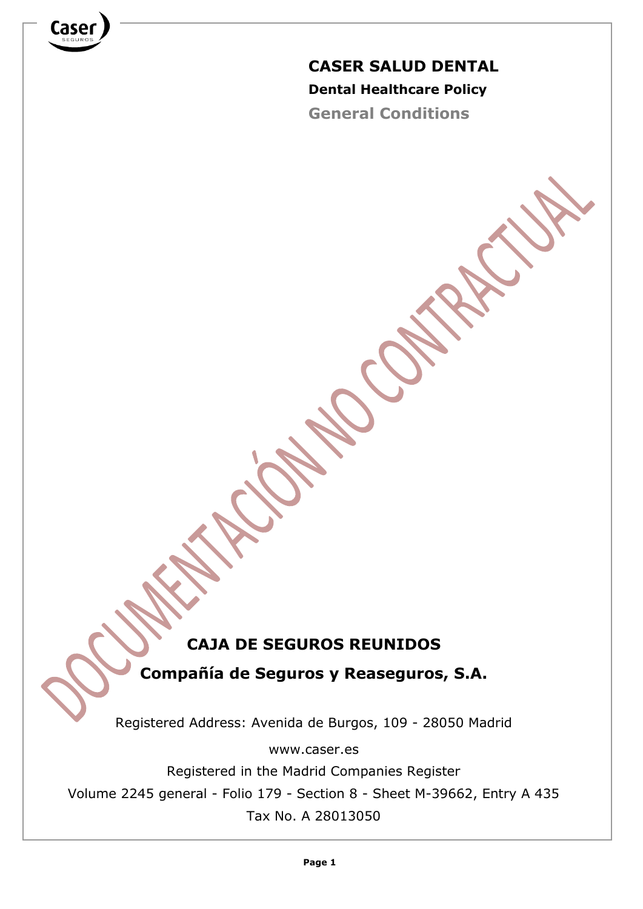

**General Conditions**

# **CAJA DE SEGUROS REUNIDOS**

**Compañía de Seguros y Reaseguros, S.A.**

Registered Address: Avenida de Burgos, 109 - 28050 Madrid

www.caser.es

Registered in the Madrid Companies Register

Volume 2245 general - Folio 179 - Section 8 - Sheet M-39662, Entry A 435

Tax No. A 28013050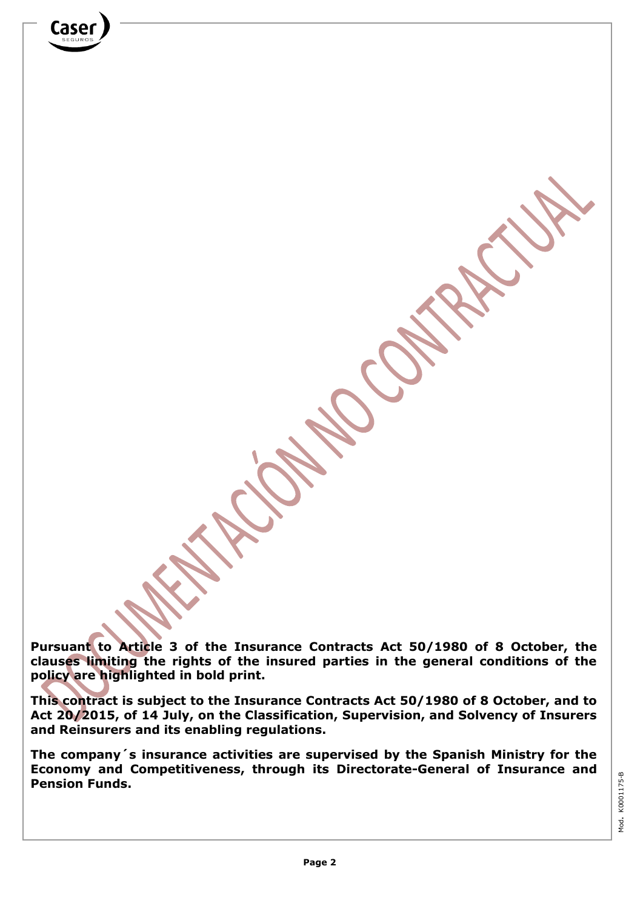**Pursuant to Article 3 of the Insurance Contracts Act 50/1980 of 8 October, the clauses limiting the rights of the insured parties in the general conditions of the policy are highlighted in bold print.**

**This contract is subject to the Insurance Contracts Act 50/1980 of 8 October, and to Act 20/2015, of 14 July, on the Classification, Supervision, and Solvency of Insurers and Reinsurers and its enabling regulations.**

**The company´s insurance activities are supervised by the Spanish Ministry for the Economy and Competitiveness, through its Directorate-General of Insurance and Pension Funds.**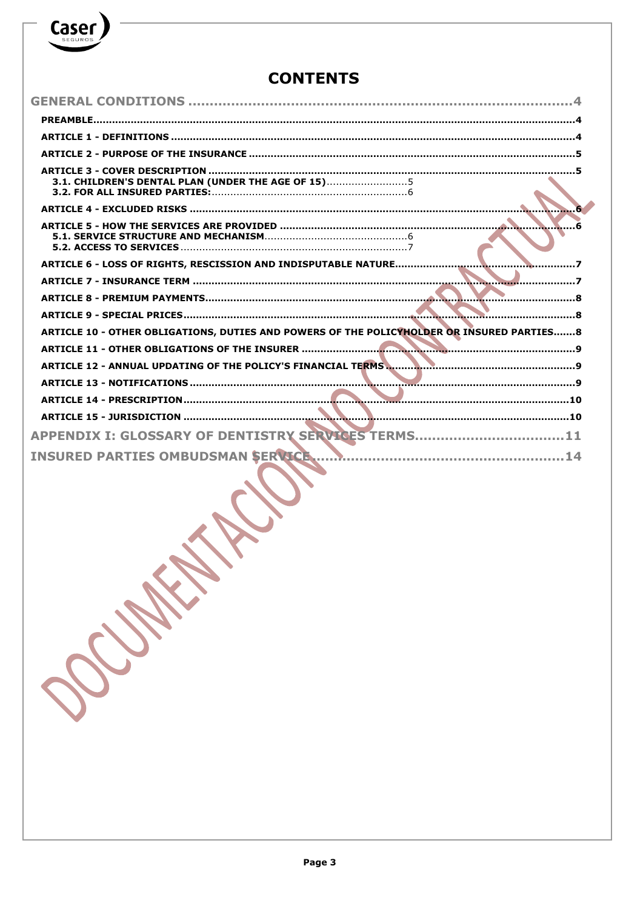## **CONTENTS**

Caser

| 3.1. CHILDREN'S DENTAL PLAN (UNDER THE AGE OF 15)5                                        |
|-------------------------------------------------------------------------------------------|
|                                                                                           |
|                                                                                           |
|                                                                                           |
|                                                                                           |
|                                                                                           |
|                                                                                           |
|                                                                                           |
|                                                                                           |
|                                                                                           |
| ARTICLE 10 - OTHER OBLIGATIONS, DUTIES AND POWERS OF THE POLICYHOLDER OR INSURED PARTIES8 |
|                                                                                           |
| ARTICLE 12 - ANNUAL UPDATING OF THE POLICY'S FINANCIAL TERMS                              |
|                                                                                           |
|                                                                                           |
|                                                                                           |
| APPENDIX I: GLOSSARY OF DENTISTRY SERVICES TERMS11                                        |

Anticipal Company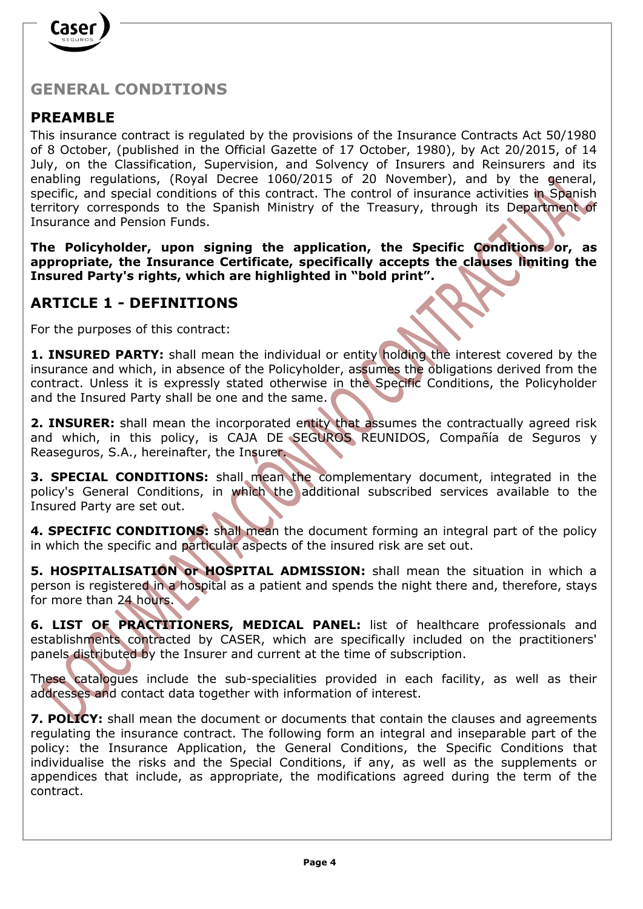

## **GENERAL CONDITIONS**

## **PREAMBLE**

This insurance contract is regulated by the provisions of the Insurance Contracts Act 50/1980 of 8 October, (published in the Official Gazette of 17 October, 1980), by Act 20/2015, of 14 July, on the Classification, Supervision, and Solvency of Insurers and Reinsurers and its enabling regulations, (Royal Decree 1060/2015 of 20 November), and by the general, specific, and special conditions of this contract. The control of insurance activities in Spanish territory corresponds to the Spanish Ministry of the Treasury, through its Department of Insurance and Pension Funds.

**The Policyholder, upon signing the application, the Specific Conditions or, as appropriate, the Insurance Certificate, specifically accepts the clauses limiting the Insured Party's rights, which are highlighted in "bold print".**

## **ARTICLE 1 - DEFINITIONS**

For the purposes of this contract:

1. INSURED PARTY: shall mean the individual or entity holding the interest covered by the insurance and which, in absence of the Policyholder, assumes the obligations derived from the contract. Unless it is expressly stated otherwise in the Specific Conditions, the Policyholder and the Insured Party shall be one and the same.

**2. INSURER:** shall mean the incorporated entity that assumes the contractually agreed risk and which, in this policy, is CAJA DE SEGUROS REUNIDOS, Compañía de Seguros y Reaseguros, S.A., hereinafter, the Insurer.

**3. SPECIAL CONDITIONS:** shall mean the complementary document, integrated in the policy's General Conditions, in which the additional subscribed services available to the Insured Party are set out.

**4. SPECIFIC CONDITIONS:** shall mean the document forming an integral part of the policy in which the specific and particular aspects of the insured risk are set out.

**5. HOSPITALISATION or HOSPITAL ADMISSION:** shall mean the situation in which a person is registered in a hospital as a patient and spends the night there and, therefore, stays for more than 24 hours.

**6. LIST OF PRACTITIONERS, MEDICAL PANEL:** list of healthcare professionals and establishments contracted by CASER, which are specifically included on the practitioners' panels distributed by the Insurer and current at the time of subscription.

These catalogues include the sub-specialities provided in each facility, as well as their addresses and contact data together with information of interest.

**7. POLICY:** shall mean the document or documents that contain the clauses and agreements regulating the insurance contract. The following form an integral and inseparable part of the policy: the Insurance Application, the General Conditions, the Specific Conditions that individualise the risks and the Special Conditions, if any, as well as the supplements or appendices that include, as appropriate, the modifications agreed during the term of the contract.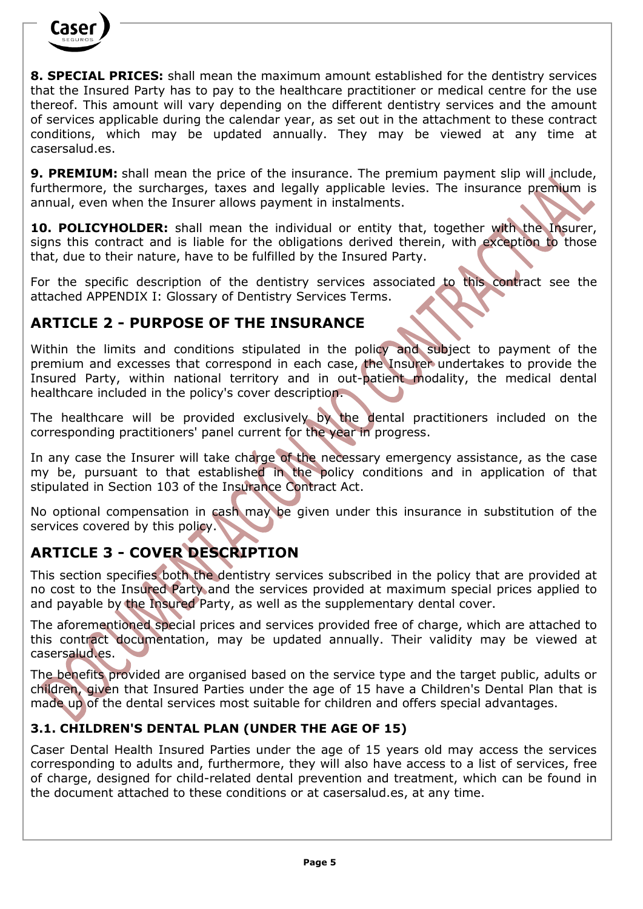

**8. SPECIAL PRICES:** shall mean the maximum amount established for the dentistry services that the Insured Party has to pay to the healthcare practitioner or medical centre for the use thereof. This amount will vary depending on the different dentistry services and the amount of services applicable during the calendar year, as set out in the attachment to these contract conditions, which may be updated annually. They may be viewed at any time at casersalud.es.

**9. PREMIUM:** shall mean the price of the insurance. The premium payment slip will include, furthermore, the surcharges, taxes and legally applicable levies. The insurance premium is annual, even when the Insurer allows payment in instalments.

10. POLICYHOLDER: shall mean the individual or entity that, together with the Insurer, signs this contract and is liable for the obligations derived therein, with exception to those that, due to their nature, have to be fulfilled by the Insured Party.

For the specific description of the dentistry services associated to this contract see the attached APPENDIX I: Glossary of Dentistry Services Terms.

## **ARTICLE 2 - PURPOSE OF THE INSURANCE**

Within the limits and conditions stipulated in the policy and subject to payment of the premium and excesses that correspond in each case, the Insurer undertakes to provide the Insured Party, within national territory and in out-patient modality, the medical dental healthcare included in the policy's cover description.

The healthcare will be provided exclusively by the dental practitioners included on the corresponding practitioners' panel current for the year in progress.

In any case the Insurer will take charge of the necessary emergency assistance, as the case my be, pursuant to that established in the policy conditions and in application of that stipulated in Section 103 of the Insurance Contract Act.

No optional compensation in cash may be given under this insurance in substitution of the services covered by this policy.

## **ARTICLE 3 - COVER DESCRIPTION**

This section specifies both the dentistry services subscribed in the policy that are provided at no cost to the Insured Party and the services provided at maximum special prices applied to and payable by the Insured Party, as well as the supplementary dental cover.

The aforementioned special prices and services provided free of charge, which are attached to this contract documentation, may be updated annually. Their validity may be viewed at casersalud.es.

The benefits provided are organised based on the service type and the target public, adults or children, given that Insured Parties under the age of 15 have a Children's Dental Plan that is made up of the dental services most suitable for children and offers special advantages.

## **3.1. CHILDREN'S DENTAL PLAN (UNDER THE AGE OF 15)**

Caser Dental Health Insured Parties under the age of 15 years old may access the services corresponding to adults and, furthermore, they will also have access to a list of services, free of charge, designed for child-related dental prevention and treatment, which can be found in the document attached to these conditions or at casersalud.es, at any time.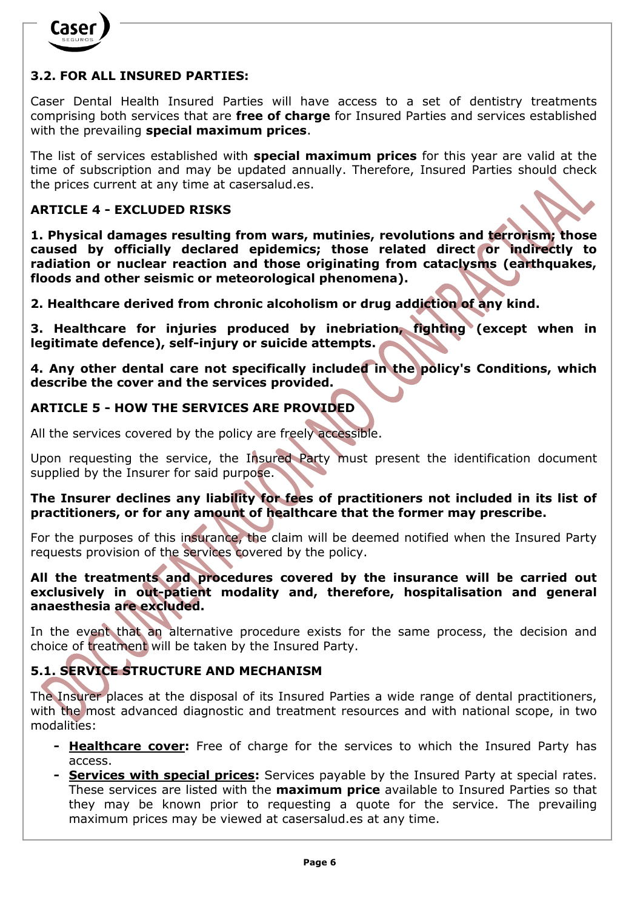

## **3.2. FOR ALL INSURED PARTIES:**

Caser Dental Health Insured Parties will have access to a set of dentistry treatments comprising both services that are **free of charge** for Insured Parties and services established with the prevailing **special maximum prices**.

The list of services established with **special maximum prices** for this year are valid at the time of subscription and may be updated annually. Therefore, Insured Parties should check the prices current at any time at [casersalud.es.](http://www.casersalud.es/)

#### **ARTICLE 4 - EXCLUDED RISKS**

**1. Physical damages resulting from wars, mutinies, revolutions and terrorism; those caused by officially declared epidemics; those related direct or indirectly to radiation or nuclear reaction and those originating from cataclysms (earthquakes, floods and other seismic or meteorological phenomena).**

**2. Healthcare derived from chronic alcoholism or drug addiction of any kind.**

**3. Healthcare for injuries produced by inebriation, fighting (except when in legitimate defence), self-injury or suicide attempts.**

**4. Any other dental care not specifically included in the policy's Conditions, which describe the cover and the services provided.** 

#### **ARTICLE 5 - HOW THE SERVICES ARE PROVIDED**

All the services covered by the policy are freely accessible.

Upon requesting the service, the Insured Party must present the identification document supplied by the Insurer for said purpose.

**The Insurer declines any liability for fees of practitioners not included in its list of practitioners, or for any amount of healthcare that the former may prescribe.** 

For the purposes of this insurance, the claim will be deemed notified when the Insured Party requests provision of the services covered by the policy.

**All the treatments and procedures covered by the insurance will be carried out exclusively in out-patient modality and, therefore, hospitalisation and general anaesthesia are excluded.**

In the event that an alternative procedure exists for the same process, the decision and choice of treatment will be taken by the Insured Party.

## **5.1. SERVICE STRUCTURE AND MECHANISM**

The Insurer places at the disposal of its Insured Parties a wide range of dental practitioners, with the most advanced diagnostic and treatment resources and with national scope, in two modalities:

- **- Healthcare cover:** Free of charge for the services to which the Insured Party has access.
- **- Services with special prices:** Services payable by the Insured Party at special rates. These services are listed with the **maximum price** available to Insured Parties so that they may be known prior to requesting a quote for the service. The prevailing maximum prices may be viewed at [casersalud.es](http://www.casersalud.es/) at any time.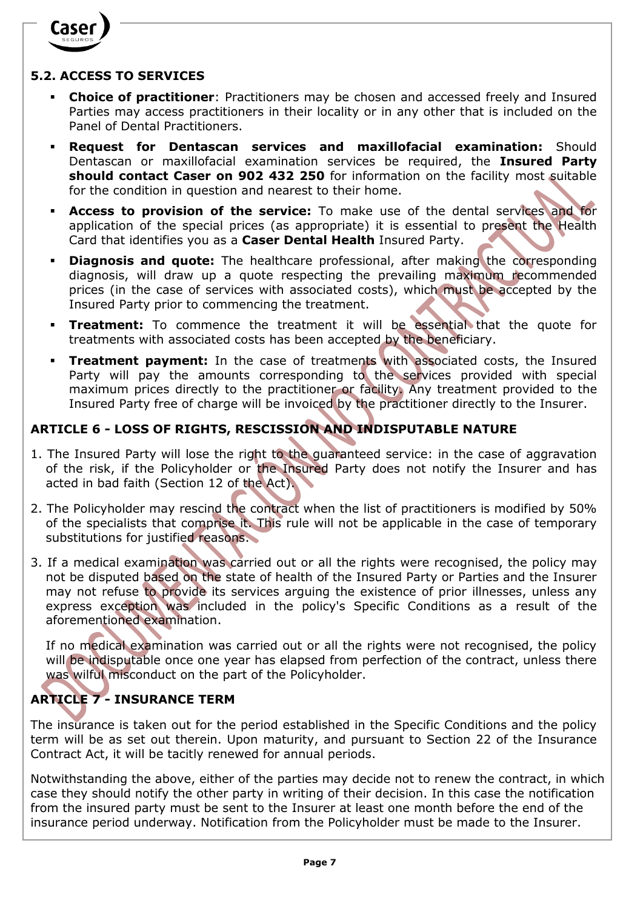

#### **5.2. ACCESS TO SERVICES**

- **Choice of practitioner**: Practitioners may be chosen and accessed freely and Insured Parties may access practitioners in their locality or in any other that is included on the Panel of Dental Practitioners.
- **Request for Dentascan services and maxillofacial examination:** Should Dentascan or maxillofacial examination services be required, the **Insured Party should contact Caser on 902 432 250** for information on the facility most suitable for the condition in question and nearest to their home.
- **Access to provision of the service:** To make use of the dental services and for application of the special prices (as appropriate) it is essential to present the Health Card that identifies you as a **Caser Dental Health** Insured Party.
- **Diagnosis and quote:** The healthcare professional, after making the corresponding diagnosis, will draw up a quote respecting the prevailing maximum recommended prices (in the case of services with associated costs), which must be accepted by the Insured Party prior to commencing the treatment.
- **Treatment:** To commence the treatment it will be essential that the quote for treatments with associated costs has been accepted by the beneficiary.
- **Treatment payment:** In the case of treatments with associated costs, the Insured Party will pay the amounts corresponding to the services provided with special maximum prices directly to the practitioner or facility. Any treatment provided to the Insured Party free of charge will be invoiced by the practitioner directly to the Insurer.

## **ARTICLE 6 - LOSS OF RIGHTS, RESCISSION AND INDISPUTABLE NATURE**

- 1. The Insured Party will lose the right to the guaranteed service: in the case of aggravation of the risk, if the Policyholder or the Insured Party does not notify the Insurer and has acted in bad faith (Section 12 of the Act).
- 2. The Policyholder may rescind the contract when the list of practitioners is modified by 50% of the specialists that comprise it. This rule will not be applicable in the case of temporary substitutions for justified reasons.
- 3. If a medical examination was carried out or all the rights were recognised, the policy may not be disputed based on the state of health of the Insured Party or Parties and the Insurer may not refuse to provide its services arguing the existence of prior illnesses, unless any express exception was included in the policy's Specific Conditions as a result of the aforementioned examination.

If no medical examination was carried out or all the rights were not recognised, the policy will be indisputable once one year has elapsed from perfection of the contract, unless there was wilful misconduct on the part of the Policyholder.

## **ARTICLE 7 - INSURANCE TERM**

The insurance is taken out for the period established in the Specific Conditions and the policy term will be as set out therein. Upon maturity, and pursuant to Section 22 of the Insurance Contract Act, it will be tacitly renewed for annual periods.

Notwithstanding the above, either of the parties may decide not to renew the contract, in which case they should notify the other party in writing of their decision. In this case the notification from the insured party must be sent to the Insurer at least one month before the end of the insurance period underway. Notification from the Policyholder must be made to the Insurer.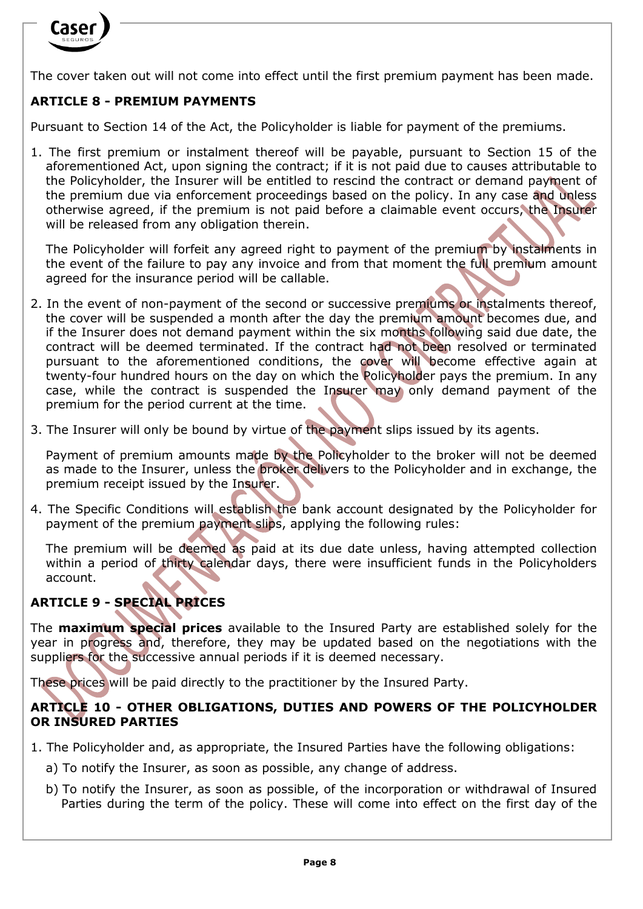

The cover taken out will not come into effect until the first premium payment has been made.

## **ARTICLE 8 - PREMIUM PAYMENTS**

Pursuant to Section 14 of the Act, the Policyholder is liable for payment of the premiums.

1. The first premium or instalment thereof will be payable, pursuant to Section 15 of the aforementioned Act, upon signing the contract; if it is not paid due to causes attributable to the Policyholder, the Insurer will be entitled to rescind the contract or demand payment of the premium due via enforcement proceedings based on the policy. In any case and unless otherwise agreed, if the premium is not paid before a claimable event occurs, the Insurer will be released from any obligation therein.

The Policyholder will forfeit any agreed right to payment of the premium by instalments in the event of the failure to pay any invoice and from that moment the full premium amount agreed for the insurance period will be callable.

- 2. In the event of non-payment of the second or successive premiums or instalments thereof, the cover will be suspended a month after the day the premium amount becomes due, and if the Insurer does not demand payment within the six months following said due date, the contract will be deemed terminated. If the contract had not been resolved or terminated pursuant to the aforementioned conditions, the cover will become effective again at twenty-four hundred hours on the day on which the Policyholder pays the premium. In any case, while the contract is suspended the Insurer may only demand payment of the premium for the period current at the time.
- 3. The Insurer will only be bound by virtue of the payment slips issued by its agents.

Payment of premium amounts made by the Policyholder to the broker will not be deemed as made to the Insurer, unless the broker delivers to the Policyholder and in exchange, the premium receipt issued by the Insurer.

4. The Specific Conditions will establish the bank account designated by the Policyholder for payment of the premium payment slips, applying the following rules:

The premium will be deemed as paid at its due date unless, having attempted collection within a period of thirty calendar days, there were insufficient funds in the Policyholders account.

### **ARTICLE 9 - SPECIAL PRICES**

The **maximum special prices** available to the Insured Party are established solely for the year in progress and, therefore, they may be updated based on the negotiations with the suppliers for the successive annual periods if it is deemed necessary.

These prices will be paid directly to the practitioner by the Insured Party.

#### **ARTICLE 10 - OTHER OBLIGATIONS, DUTIES AND POWERS OF THE POLICYHOLDER OR INSURED PARTIES**

- 1. The Policyholder and, as appropriate, the Insured Parties have the following obligations:
	- a) To notify the Insurer, as soon as possible, any change of address.
	- b) To notify the Insurer, as soon as possible, of the incorporation or withdrawal of Insured Parties during the term of the policy. These will come into effect on the first day of the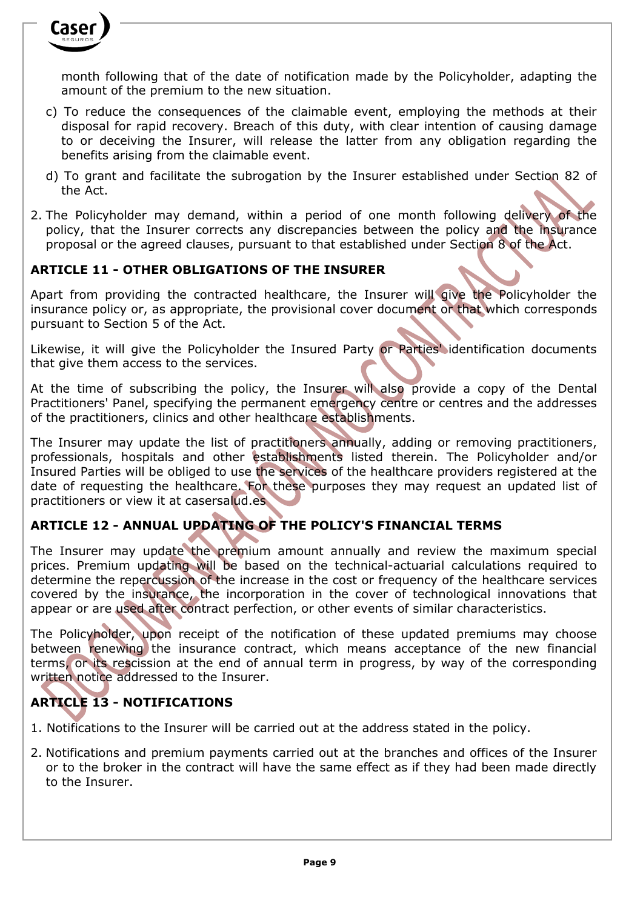

month following that of the date of notification made by the Policyholder, adapting the amount of the premium to the new situation.

- c) To reduce the consequences of the claimable event, employing the methods at their disposal for rapid recovery. Breach of this duty, with clear intention of causing damage to or deceiving the Insurer, will release the latter from any obligation regarding the benefits arising from the claimable event.
- d) To grant and facilitate the subrogation by the Insurer established under Section 82 of the Act.
- 2. The Policyholder may demand, within a period of one month following delivery of the policy, that the Insurer corrects any discrepancies between the policy and the insurance proposal or the agreed clauses, pursuant to that established under Section 8 of the Act.

#### **ARTICLE 11 - OTHER OBLIGATIONS OF THE INSURER**

Apart from providing the contracted healthcare, the Insurer will give the Policyholder the insurance policy or, as appropriate, the provisional cover document or that which corresponds pursuant to Section 5 of the Act.

Likewise, it will give the Policyholder the Insured Party or Parties' identification documents that give them access to the services.

At the time of subscribing the policy, the Insurer will also provide a copy of the Dental Practitioners' Panel, specifying the permanent emergency centre or centres and the addresses of the practitioners, clinics and other healthcare establishments.

The Insurer may update the list of practitioners annually, adding or removing practitioners, professionals, hospitals and other establishments listed therein. The Policyholder and/or Insured Parties will be obliged to use the services of the healthcare providers registered at the date of requesting the healthcare. For these purposes they may request an updated list of practitioners or view it at casersalud.es

#### **ARTICLE 12 - ANNUAL UPDATING OF THE POLICY'S FINANCIAL TERMS**

The Insurer may update the premium amount annually and review the maximum special prices. Premium updating will be based on the technical-actuarial calculations required to determine the repercussion of the increase in the cost or frequency of the healthcare services covered by the insurance, the incorporation in the cover of technological innovations that appear or are used after contract perfection, or other events of similar characteristics.

The Policyholder, upon receipt of the notification of these updated premiums may choose between renewing the insurance contract, which means acceptance of the new financial terms, or its rescission at the end of annual term in progress, by way of the corresponding written notice addressed to the Insurer.

#### **ARTICLE 13 - NOTIFICATIONS**

- 1. Notifications to the Insurer will be carried out at the address stated in the policy.
- 2. Notifications and premium payments carried out at the branches and offices of the Insurer or to the broker in the contract will have the same effect as if they had been made directly to the Insurer.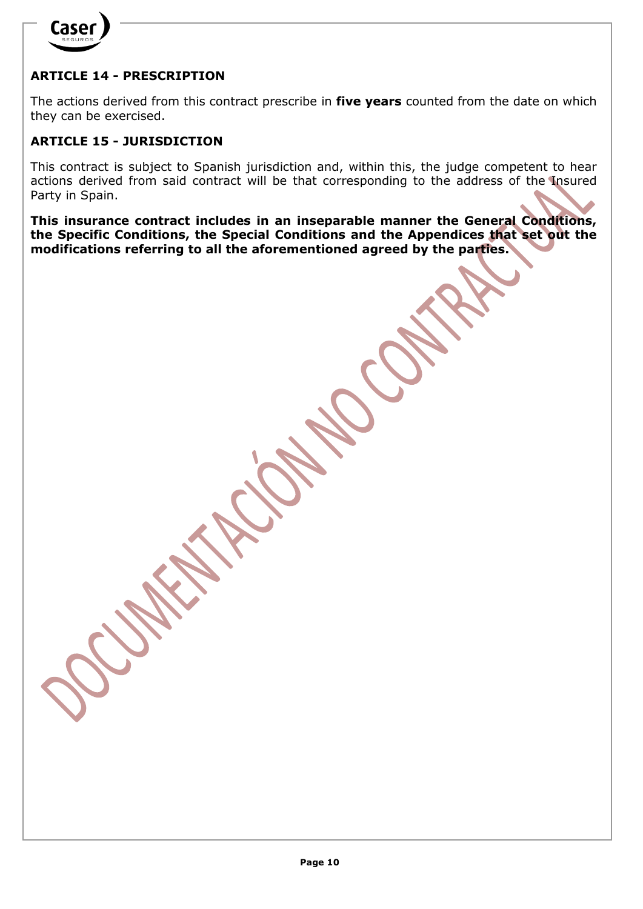

## **ARTICLE 14 - PRESCRIPTION**

The actions derived from this contract prescribe in **five years** counted from the date on which they can be exercised.

#### **ARTICLE 15 - JURISDICTION**

This contract is subject to Spanish jurisdiction and, within this, the judge competent to hear actions derived from said contract will be that corresponding to the address of the Insured Party in Spain.

**This insurance contract includes in an inseparable manner the General Conditions, the Specific Conditions, the Special Conditions and the Appendices that set out the modifications referring to all the aforementioned agreed by the parties.**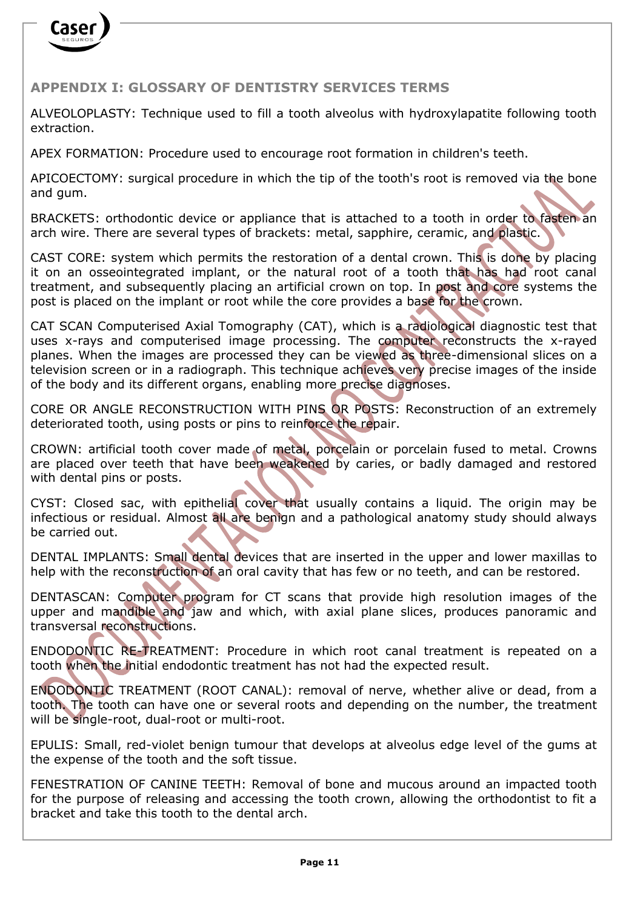

### **APPENDIX I: GLOSSARY OF DENTISTRY SERVICES TERMS**

ALVEOLOPLASTY: Technique used to fill a tooth alveolus with hydroxylapatite following tooth extraction.

APEX FORMATION: Procedure used to encourage root formation in children's teeth.

APICOECTOMY: surgical procedure in which the tip of the tooth's root is removed via the bone and gum.

BRACKETS: orthodontic device or appliance that is attached to a tooth in order to fasten an arch wire. There are several types of brackets: metal, sapphire, ceramic, and plastic.

CAST CORE: system which permits the restoration of a dental crown. This is done by placing it on an osseointegrated implant, or the natural root of a tooth that has had root canal treatment, and subsequently placing an artificial crown on top. In post and core systems the post is placed on the implant or root while the core provides a base for the crown.

CAT SCAN Computerised Axial Tomography (CAT), which is a radiological diagnostic test that uses x-rays and computerised image processing. The computer reconstructs the x-rayed planes. When the images are processed they can be viewed as three-dimensional slices on a television screen or in a radiograph. This technique achieves very precise images of the inside of the body and its different organs, enabling more precise diagnoses.

CORE OR ANGLE RECONSTRUCTION WITH PINS OR POSTS: Reconstruction of an extremely deteriorated tooth, using posts or pins to reinforce the repair.

CROWN: artificial tooth cover made of metal, porcelain or porcelain fused to metal. Crowns are placed over teeth that have been weakened by caries, or badly damaged and restored with dental pins or posts.

CYST: Closed sac, with epithelial cover that usually contains a liquid. The origin may be infectious or residual. Almost all are benign and a pathological anatomy study should always be carried out.

DENTAL IMPLANTS: Small dental devices that are inserted in the upper and lower maxillas to help with the reconstruction of an oral cavity that has few or no teeth, and can be restored.

DENTASCAN: Computer program for CT scans that provide high resolution images of the upper and mandible and jaw and which, with axial plane slices, produces panoramic and transversal reconstructions.

ENDODONTIC RE-TREATMENT: Procedure in which root canal treatment is repeated on a tooth when the initial endodontic treatment has not had the expected result.

ENDODONTIC TREATMENT (ROOT CANAL): removal of nerve, whether alive or dead, from a tooth. The tooth can have one or several roots and depending on the number, the treatment will be single-root, dual-root or multi-root.

EPULIS: Small, red-violet benign tumour that develops at alveolus edge level of the gums at the expense of the tooth and the soft tissue.

FENESTRATION OF CANINE TEETH: Removal of bone and mucous around an impacted tooth for the purpose of releasing and accessing the tooth crown, allowing the orthodontist to fit a bracket and take this tooth to the dental arch.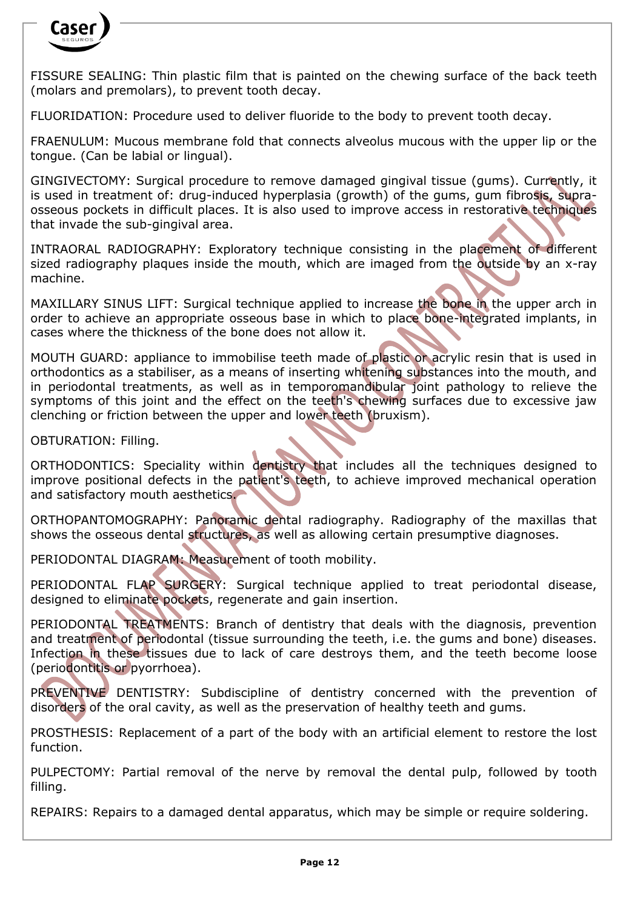

FISSURE SEALING: Thin plastic film that is painted on the chewing surface of the back teeth (molars and premolars), to prevent tooth decay.

FLUORIDATION: Procedure used to deliver fluoride to the body to prevent tooth decay.

FRAENULUM: Mucous membrane fold that connects alveolus mucous with the upper lip or the tongue. (Can be labial or lingual).

GINGIVECTOMY: Surgical procedure to remove damaged gingival tissue (gums). Currently, it is used in treatment of: drug-induced hyperplasia (growth) of the gums, gum fibrosis, supraosseous pockets in difficult places. It is also used to improve access in restorative techniques that invade the sub-gingival area.

INTRAORAL RADIOGRAPHY: Exploratory technique consisting in the placement of different sized radiography plaques inside the mouth, which are imaged from the outside by an x-ray machine.

MAXILLARY SINUS LIFT: Surgical technique applied to increase the bone in the upper arch in order to achieve an appropriate osseous base in which to place bone-integrated implants, in cases where the thickness of the bone does not allow it.

MOUTH GUARD: appliance to immobilise teeth made of plastic or acrylic resin that is used in orthodontics as a stabiliser, as a means of inserting whitening substances into the mouth, and in periodontal treatments, as well as in temporomandibular joint pathology to relieve the symptoms of this joint and the effect on the teeth's chewing surfaces due to excessive jaw clenching or friction between the upper and lower teeth (bruxism).

OBTURATION: Filling.

ORTHODONTICS: Speciality within dentistry that includes all the techniques designed to improve positional defects in the patient's teeth, to achieve improved mechanical operation and satisfactory mouth aesthetics.

ORTHOPANTOMOGRAPHY: Panoramic dental radiography. Radiography of the maxillas that shows the osseous dental structures, as well as allowing certain presumptive diagnoses.

PERIODONTAL DIAGRAM: Measurement of tooth mobility.

PERIODONTAL FLAP SURGERY: Surgical technique applied to treat periodontal disease, designed to eliminate pockets, regenerate and gain insertion.

PERIODONTAL TREATMENTS: Branch of dentistry that deals with the diagnosis, prevention and treatment of periodontal (tissue surrounding the teeth, i.e. the gums and bone) diseases. Infection in these tissues due to lack of care destroys them, and the teeth become loose (periodontitis or pyorrhoea).

PREVENTIVE DENTISTRY: Subdiscipline of dentistry concerned with the prevention of disorders of the oral cavity, as well as the preservation of healthy teeth and gums.

PROSTHESIS: Replacement of a part of the body with an artificial element to restore the lost function.

PULPECTOMY: Partial removal of the nerve by removal the dental pulp, followed by tooth filling.

REPAIRS: Repairs to a damaged dental apparatus, which may be simple or require soldering.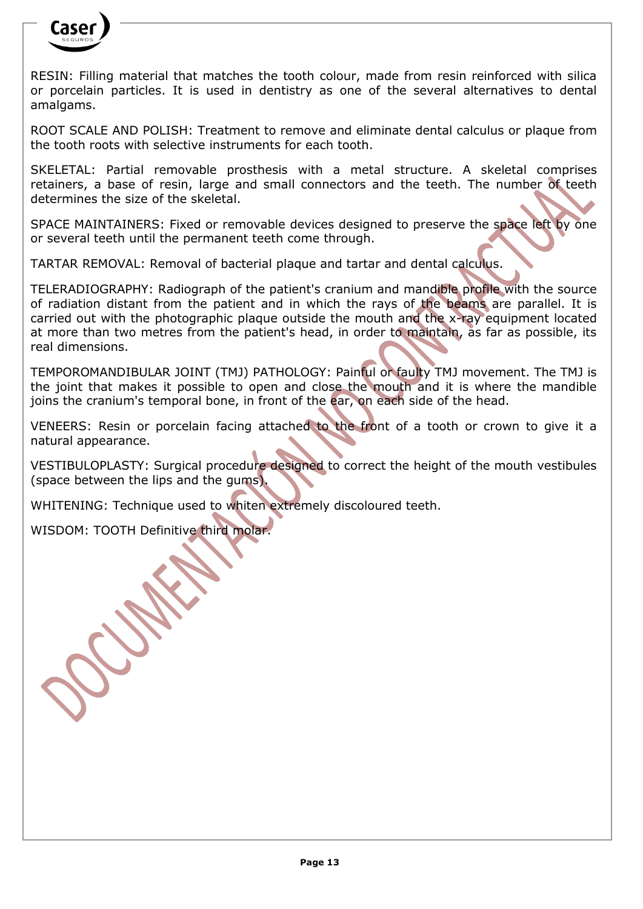

RESIN: Filling material that matches the tooth colour, made from resin reinforced with silica or porcelain particles. It is used in dentistry as one of the several alternatives to dental amalgams.

ROOT SCALE AND POLISH: Treatment to remove and eliminate dental calculus or plaque from the tooth roots with selective instruments for each tooth.

SKELETAL: Partial removable prosthesis with a metal structure. A skeletal comprises retainers, a base of resin, large and small connectors and the teeth. The number of teeth determines the size of the skeletal.

SPACE MAINTAINERS: Fixed or removable devices designed to preserve the space left by one or several teeth until the permanent teeth come through.

TARTAR REMOVAL: Removal of bacterial plaque and tartar and dental calculus.

TELERADIOGRAPHY: Radiograph of the patient's cranium and mandible profile with the source of radiation distant from the patient and in which the rays of the beams are parallel. It is carried out with the photographic plaque outside the mouth and the x-ray equipment located at more than two metres from the patient's head, in order to maintain, as far as possible, its real dimensions.

TEMPOROMANDIBULAR JOINT (TMJ) PATHOLOGY: Painful or faulty TMJ movement. The TMJ is the joint that makes it possible to open and close the mouth and it is where the mandible joins the cranium's temporal bone, in front of the ear, on each side of the head.

VENEERS: Resin or porcelain facing attached to the front of a tooth or crown to give it a natural appearance.

VESTIBULOPLASTY: Surgical procedure designed to correct the height of the mouth vestibules (space between the lips and the gums).

WHITENING: Technique used to whiten extremely discoloured teeth.

WISDOM: TOOTH Definitive third molar.